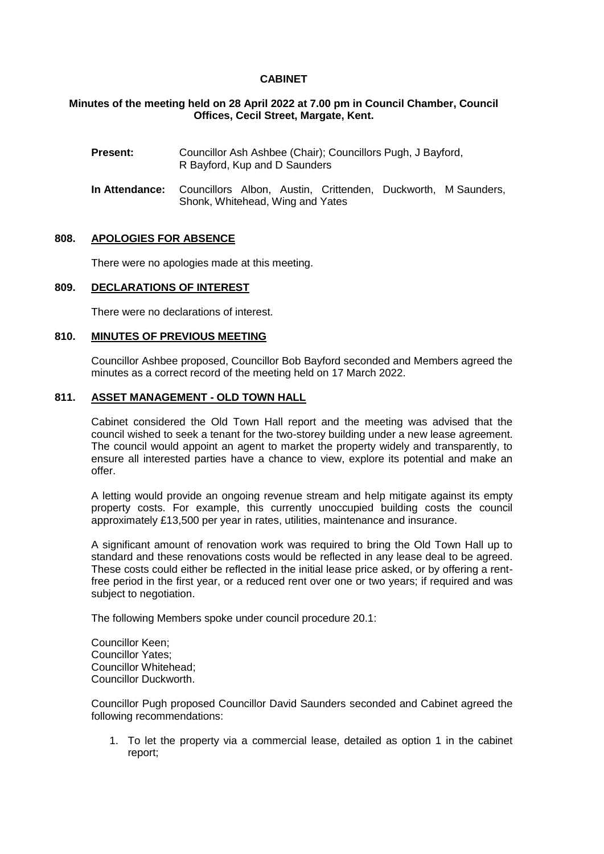# **CABINET**

# **Minutes of the meeting held on 28 April 2022 at 7.00 pm in Council Chamber, Council Offices, Cecil Street, Margate, Kent.**

- **Present:** Councillor Ash Ashbee (Chair); Councillors Pugh, J Bayford, R Bayford, Kup and D Saunders
- **In Attendance:** Councillors Albon, Austin, Crittenden, Duckworth, M Saunders, Shonk, Whitehead, Wing and Yates

### **808. APOLOGIES FOR ABSENCE**

There were no apologies made at this meeting.

### **809. DECLARATIONS OF INTEREST**

There were no declarations of interest.

### **810. MINUTES OF PREVIOUS MEETING**

Councillor Ashbee proposed, Councillor Bob Bayford seconded and Members agreed the minutes as a correct record of the meeting held on 17 March 2022.

# **811. ASSET MANAGEMENT - OLD TOWN HALL**

Cabinet considered the Old Town Hall report and the meeting was advised that the council wished to seek a tenant for the two-storey building under a new lease agreement. The council would appoint an agent to market the property widely and transparently, to ensure all interested parties have a chance to view, explore its potential and make an offer.

A letting would provide an ongoing revenue stream and help mitigate against its empty property costs. For example, this currently unoccupied building costs the council approximately £13,500 per year in rates, utilities, maintenance and insurance.

A significant amount of renovation work was required to bring the Old Town Hall up to standard and these renovations costs would be reflected in any lease deal to be agreed. These costs could either be reflected in the initial lease price asked, or by offering a rentfree period in the first year, or a reduced rent over one or two years; if required and was subject to negotiation.

The following Members spoke under council procedure 20.1:

Councillor Keen; Councillor Yates; Councillor Whitehead; Councillor Duckworth.

Councillor Pugh proposed Councillor David Saunders seconded and Cabinet agreed the following recommendations:

1. To let the property via a commercial lease, detailed as option 1 in the cabinet report;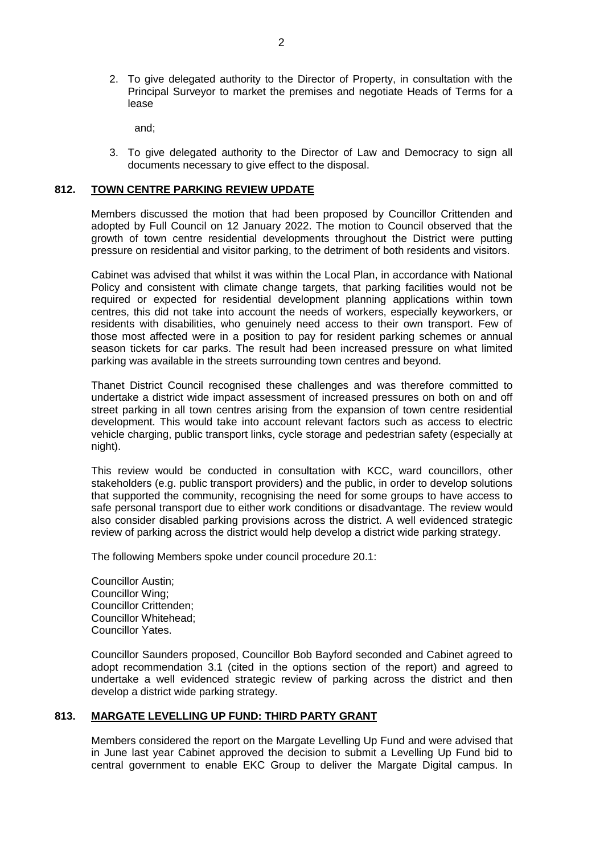2. To give delegated authority to the Director of Property, in consultation with the Principal Surveyor to market the premises and negotiate Heads of Terms for a lease

and;

3. To give delegated authority to the Director of Law and Democracy to sign all documents necessary to give effect to the disposal.

#### **812. TOWN CENTRE PARKING REVIEW UPDATE**

Members discussed the motion that had been proposed by Councillor Crittenden and adopted by Full Council on 12 January 2022. The motion to Council observed that the growth of town centre residential developments throughout the District were putting pressure on residential and visitor parking, to the detriment of both residents and visitors.

Cabinet was advised that whilst it was within the Local Plan, in accordance with National Policy and consistent with climate change targets, that parking facilities would not be required or expected for residential development planning applications within town centres, this did not take into account the needs of workers, especially keyworkers, or residents with disabilities, who genuinely need access to their own transport. Few of those most affected were in a position to pay for resident parking schemes or annual season tickets for car parks. The result had been increased pressure on what limited parking was available in the streets surrounding town centres and beyond.

Thanet District Council recognised these challenges and was therefore committed to undertake a district wide impact assessment of increased pressures on both on and off street parking in all town centres arising from the expansion of town centre residential development. This would take into account relevant factors such as access to electric vehicle charging, public transport links, cycle storage and pedestrian safety (especially at night).

This review would be conducted in consultation with KCC, ward councillors, other stakeholders (e.g. public transport providers) and the public, in order to develop solutions that supported the community, recognising the need for some groups to have access to safe personal transport due to either work conditions or disadvantage. The review would also consider disabled parking provisions across the district. A well evidenced strategic review of parking across the district would help develop a district wide parking strategy.

The following Members spoke under council procedure 20.1:

Councillor Austin; Councillor Wing; Councillor Crittenden; Councillor Whitehead; Councillor Yates.

Councillor Saunders proposed, Councillor Bob Bayford seconded and Cabinet agreed to adopt recommendation 3.1 (cited in the options section of the report) and agreed to undertake a well evidenced strategic review of parking across the district and then develop a district wide parking strategy.

#### **813. MARGATE LEVELLING UP FUND: THIRD PARTY GRANT**

Members considered the report on the Margate Levelling Up Fund and were advised that in June last year Cabinet approved the decision to submit a Levelling Up Fund bid to central government to enable EKC Group to deliver the Margate Digital campus. In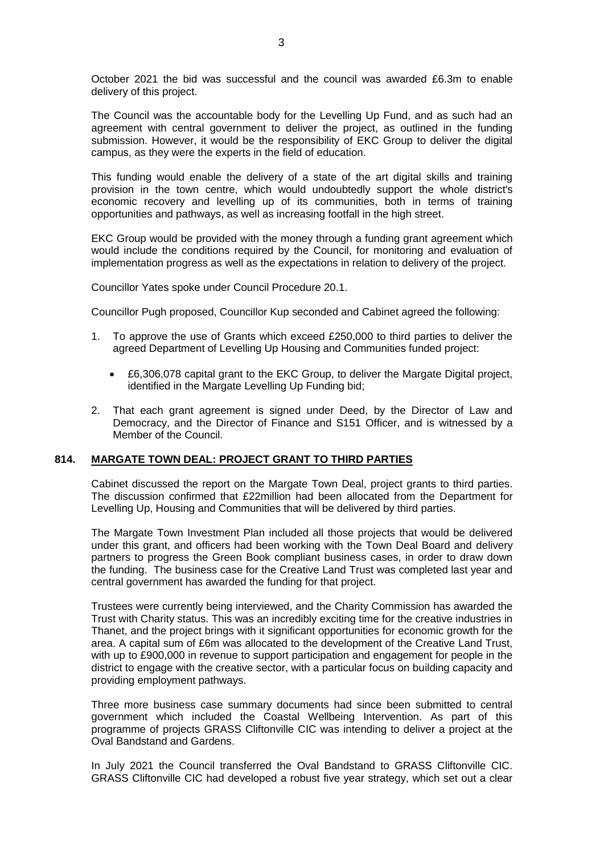October 2021 the bid was successful and the council was awarded £6.3m to enable delivery of this project.

The Council was the accountable body for the Levelling Up Fund, and as such had an agreement with central government to deliver the project, as outlined in the funding submission. However, it would be the responsibility of EKC Group to deliver the digital campus, as they were the experts in the field of education.

This funding would enable the delivery of a state of the art digital skills and training provision in the town centre, which would undoubtedly support the whole district's economic recovery and levelling up of its communities, both in terms of training opportunities and pathways, as well as increasing footfall in the high street.

EKC Group would be provided with the money through a funding grant agreement which would include the conditions required by the Council, for monitoring and evaluation of implementation progress as well as the expectations in relation to delivery of the project.

Councillor Yates spoke under Council Procedure 20.1.

Councillor Pugh proposed, Councillor Kup seconded and Cabinet agreed the following:

- 1. To approve the use of Grants which exceed £250,000 to third parties to deliver the agreed Department of Levelling Up Housing and Communities funded project:
	- £6,306,078 capital grant to the EKC Group, to deliver the Margate Digital project, identified in the Margate Levelling Up Funding bid;
- 2. That each grant agreement is signed under Deed, by the Director of Law and Democracy, and the Director of Finance and S151 Officer, and is witnessed by a Member of the Council.

# **814. MARGATE TOWN DEAL: PROJECT GRANT TO THIRD PARTIES**

Cabinet discussed the report on the Margate Town Deal, project grants to third parties. The discussion confirmed that £22million had been allocated from the Department for Levelling Up, Housing and Communities that will be delivered by third parties.

The Margate Town Investment Plan included all those projects that would be delivered under this grant, and officers had been working with the Town Deal Board and delivery partners to progress the Green Book compliant business cases, in order to draw down the funding. The business case for the Creative Land Trust was completed last year and central government has awarded the funding for that project.

Trustees were currently being interviewed, and the Charity Commission has awarded the Trust with Charity status. This was an incredibly exciting time for the creative industries in Thanet, and the project brings with it significant opportunities for economic growth for the area. A capital sum of £6m was allocated to the development of the Creative Land Trust, with up to £900,000 in revenue to support participation and engagement for people in the district to engage with the creative sector, with a particular focus on building capacity and providing employment pathways.

Three more business case summary documents had since been submitted to central government which included the Coastal Wellbeing Intervention. As part of this programme of projects GRASS Cliftonville CIC was intending to deliver a project at the Oval Bandstand and Gardens.

In July 2021 the Council transferred the Oval Bandstand to GRASS Cliftonville CIC. GRASS Cliftonville CIC had developed a robust five year strategy, which set out a clear